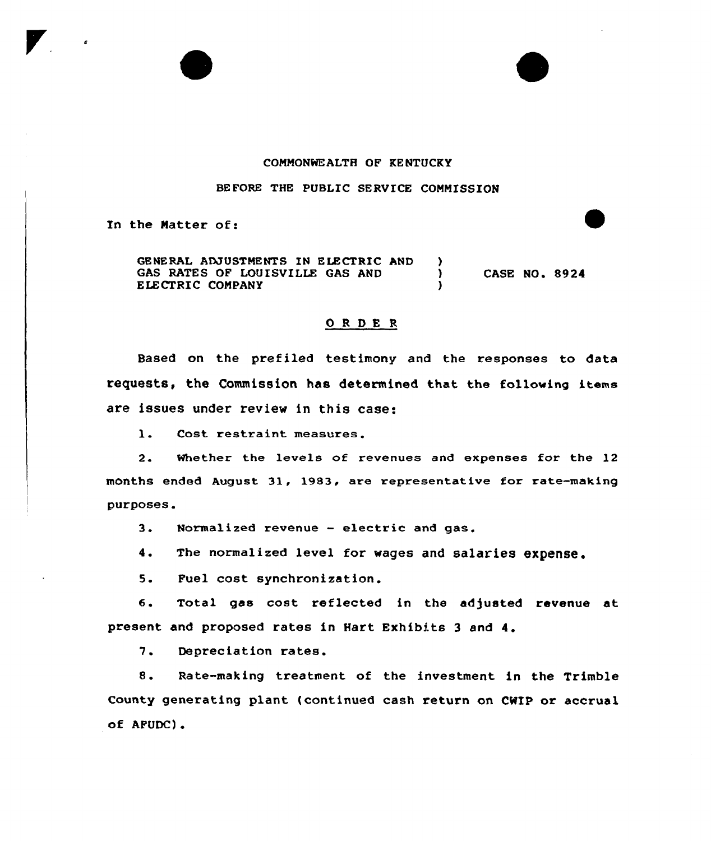## COMMONWEALTH OF KENTUCKY

## BEFORE THE PUBLIC SERVICE CONNISSION

In the Natter of:

GENERAL ADJUSTMENTS IN ELECTRIC AND (3) GAS RATES OF LOUISVILLE GAS AND  $\bigcup_{y}$ ELECTRIC COMPANY CASE NO. 8924

## 0RDE <sup>R</sup>

Based on the prefiled testimony and the responses to data requests, the Commission has determined that the following items are issues under review in this case:

1. Cost restraint measures.

2. Whether the levels of revenues and expenses for the 12 months ended August 31, 1983, are representative for rate-making purposes.

3. Normalized revenue — electric and gas.

4. The normalized level for wages and salaries expense.

5. Fuel cost synchronization.

6. Total gas cost reflected in the adjusted revenue at present and proposed rates in Hart Exhibits <sup>3</sup> and 4.

7. Depreciation rates.

8. Rate-making treatment of the investment in the Trimble County generating plant (continued cash return on CWIP or accrual of APUDC).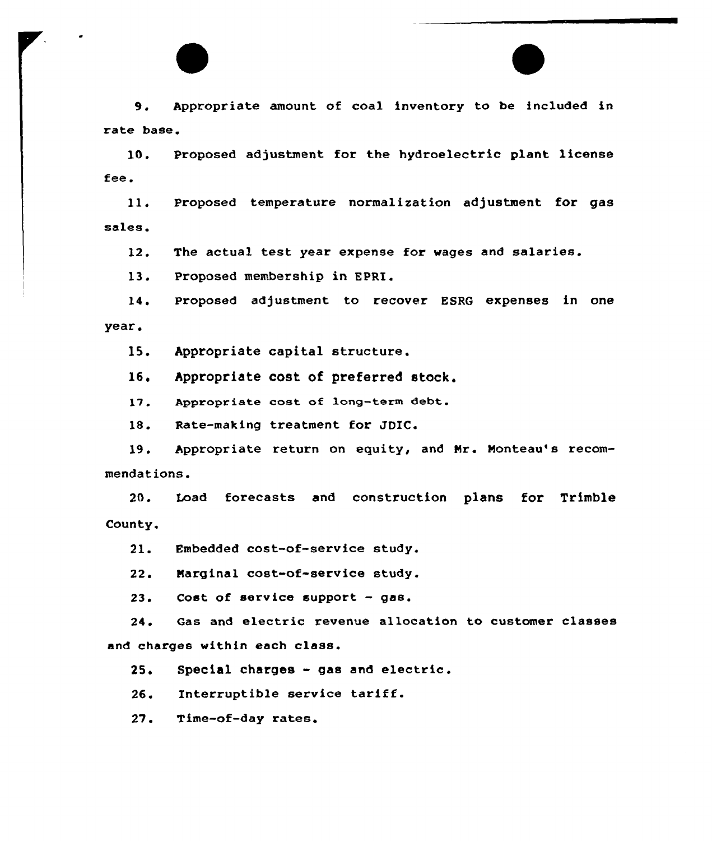9. Appropriate amount of coal inventory to be included in rate base.

10. Proposed adjustment for the hydroelectric plant license fee.

11. Proposed temperature normalization adjustment for gas sales.

12. The actual test year expense for wages and salaries.

13. Proposed membership in EPRI.

14. Proposed adjustment to recover ESRQ expenses in one year.

15. Appropriate capital structure.

16. Appropriate cost of preferred stock.

17. Appropriate cost of long-term debt.

18. Rate-making treatment for JDIC.

19. Appropriate return on equity, and Nr. Monteau's recommendations.

20. Load forecasts and construction plans for Trimble County.

21. Embedded cost-of-service study.

22. Narginal cost-of-service study.

23. Cost of service support —gas.

24. Gas and electric revenue allocation to customer classes and charges within each class.

25. Special charges - gas and electric.

26. Interruptible service tariff.

27. Time-of-day rates.